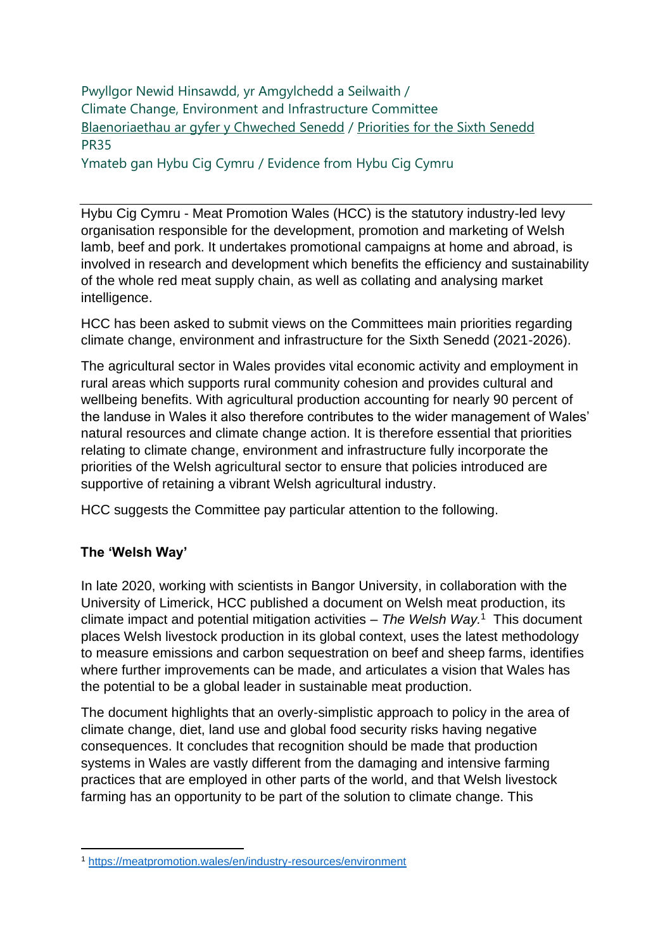Pwyllgor Newid Hinsawdd, yr Amgylchedd a Seilwaith / Climate Change, Environment and Infrastructure Committee [Blaenoriaethau ar gyfer y Chweched Senedd](https://busnes.senedd.cymru/mgConsultationDisplay.aspx?id=427&RPID=1026452002&cp=yes) / [Priorities for the Sixth Senedd](https://business.senedd.wales/mgConsultationDisplay.aspx?id=427&RPID=1026452002&cp=yes) PR35

Ymateb gan Hybu Cig Cymru / Evidence from Hybu Cig Cymru

Hybu Cig Cymru - Meat Promotion Wales (HCC) is the statutory industry-led levy organisation responsible for the development, promotion and marketing of Welsh lamb, beef and pork. It undertakes promotional campaigns at home and abroad, is involved in research and development which benefits the efficiency and sustainability of the whole red meat supply chain, as well as collating and analysing market intelligence.

HCC has been asked to submit views on the Committees main priorities regarding climate change, environment and infrastructure for the Sixth Senedd (2021-2026).

The agricultural sector in Wales provides vital economic activity and employment in rural areas which supports rural community cohesion and provides cultural and wellbeing benefits. With agricultural production accounting for nearly 90 percent of the landuse in Wales it also therefore contributes to the wider management of Wales' natural resources and climate change action. It is therefore essential that priorities relating to climate change, environment and infrastructure fully incorporate the priorities of the Welsh agricultural sector to ensure that policies introduced are supportive of retaining a vibrant Welsh agricultural industry.

HCC suggests the Committee pay particular attention to the following.

# **The 'Welsh Way'**

In late 2020, working with scientists in Bangor University, in collaboration with the University of Limerick, HCC published a document on Welsh meat production, its climate impact and potential mitigation activities – *The Welsh Way.*<sup>1</sup> This document places Welsh livestock production in its global context, uses the latest methodology to measure emissions and carbon sequestration on beef and sheep farms, identifies where further improvements can be made, and articulates a vision that Wales has the potential to be a global leader in sustainable meat production.

The document highlights that an overly-simplistic approach to policy in the area of climate change, diet, land use and global food security risks having negative consequences. It concludes that recognition should be made that production systems in Wales are vastly different from the damaging and intensive farming practices that are employed in other parts of the world, and that Welsh livestock farming has an opportunity to be part of the solution to climate change. This

<sup>1</sup> <https://meatpromotion.wales/en/industry-resources/environment>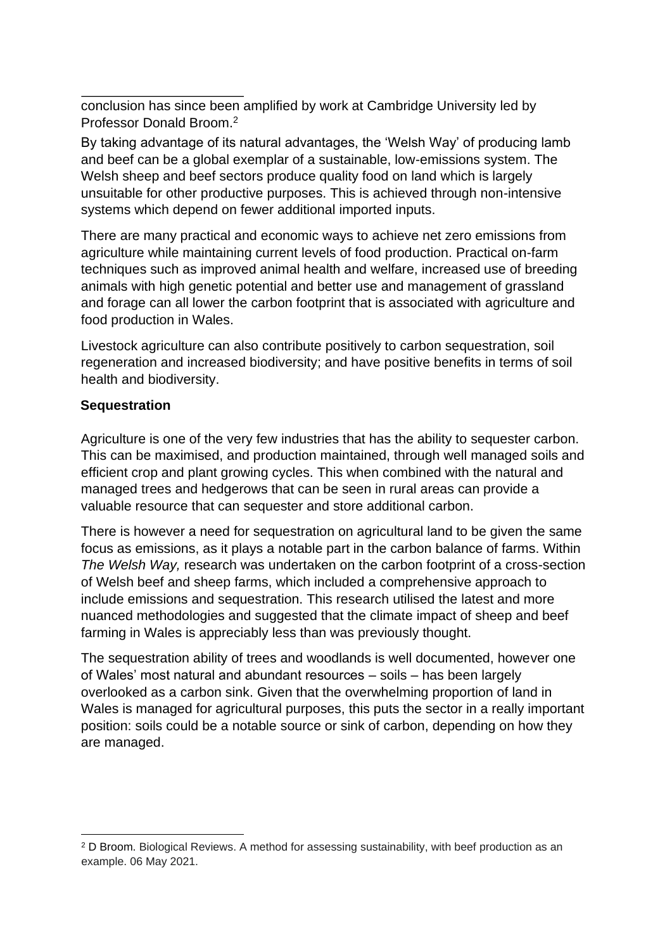conclusion has since been amplified by work at Cambridge University led by Professor Donald Broom.<sup>2</sup>

By taking advantage of its natural advantages, the 'Welsh Way' of producing lamb and beef can be a global exemplar of a sustainable, low-emissions system. The Welsh sheep and beef sectors produce quality food on land which is largely unsuitable for other productive purposes. This is achieved through non-intensive systems which depend on fewer additional imported inputs.

There are many practical and economic ways to achieve net zero emissions from agriculture while maintaining current levels of food production. Practical on-farm techniques such as improved animal health and welfare, increased use of breeding animals with high genetic potential and better use and management of grassland and forage can all lower the carbon footprint that is associated with agriculture and food production in Wales.

Livestock agriculture can also contribute positively to carbon sequestration, soil regeneration and increased biodiversity; and have positive benefits in terms of soil health and biodiversity.

#### **Sequestration**

Agriculture is one of the very few industries that has the ability to sequester carbon. This can be maximised, and production maintained, through well managed soils and efficient crop and plant growing cycles. This when combined with the natural and managed trees and hedgerows that can be seen in rural areas can provide a valuable resource that can sequester and store additional carbon.

There is however a need for sequestration on agricultural land to be given the same focus as emissions, as it plays a notable part in the carbon balance of farms. Within *The Welsh Way,* research was undertaken on the carbon footprint of a cross-section of Welsh beef and sheep farms, which included a comprehensive approach to include emissions and sequestration. This research utilised the latest and more nuanced methodologies and suggested that the climate impact of sheep and beef farming in Wales is appreciably less than was previously thought.

The sequestration ability of trees and woodlands is well documented, however one of Wales' most natural and abundant resources – soils – has been largely overlooked as a carbon sink. Given that the overwhelming proportion of land in Wales is managed for agricultural purposes, this puts the sector in a really important position: soils could be a notable source or sink of carbon, depending on how they are managed.

<sup>2</sup> D Broom. Biological Reviews. A method for assessing sustainability, with beef production as an example. 06 May 2021.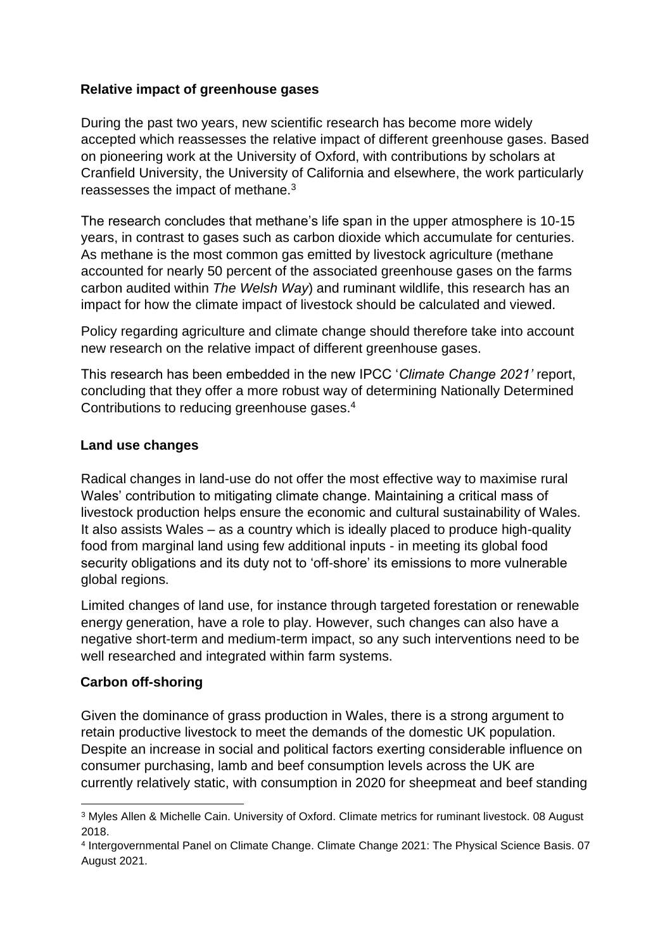## **Relative impact of greenhouse gases**

During the past two years, new scientific research has become more widely accepted which reassesses the relative impact of different greenhouse gases. Based on pioneering work at the University of Oxford, with contributions by scholars at Cranfield University, the University of California and elsewhere, the work particularly reassesses the impact of methane. $3$ 

The research concludes that methane's life span in the upper atmosphere is 10-15 years, in contrast to gases such as carbon dioxide which accumulate for centuries. As methane is the most common gas emitted by livestock agriculture (methane accounted for nearly 50 percent of the associated greenhouse gases on the farms carbon audited within *The Welsh Way*) and ruminant wildlife, this research has an impact for how the climate impact of livestock should be calculated and viewed.

Policy regarding agriculture and climate change should therefore take into account new research on the relative impact of different greenhouse gases.

This research has been embedded in the new IPCC '*Climate Change 2021'* report, concluding that they offer a more robust way of determining Nationally Determined Contributions to reducing greenhouse gases.<sup>4</sup>

#### **Land use changes**

Radical changes in land-use do not offer the most effective way to maximise rural Wales' contribution to mitigating climate change. Maintaining a critical mass of livestock production helps ensure the economic and cultural sustainability of Wales. It also assists Wales – as a country which is ideally placed to produce high-quality food from marginal land using few additional inputs - in meeting its global food security obligations and its duty not to 'off-shore' its emissions to more vulnerable global regions.

Limited changes of land use, for instance through targeted forestation or renewable energy generation, have a role to play. However, such changes can also have a negative short-term and medium-term impact, so any such interventions need to be well researched and integrated within farm systems.

## **Carbon off-shoring**

Given the dominance of grass production in Wales, there is a strong argument to retain productive livestock to meet the demands of the domestic UK population. Despite an increase in social and political factors exerting considerable influence on consumer purchasing, lamb and beef consumption levels across the UK are currently relatively static, with consumption in 2020 for sheepmeat and beef standing

<sup>3</sup> Myles Allen & Michelle Cain. University of Oxford. Climate metrics for ruminant livestock. 08 August 2018.

<sup>4</sup> Intergovernmental Panel on Climate Change. Climate Change 2021: The Physical Science Basis. 07 August 2021.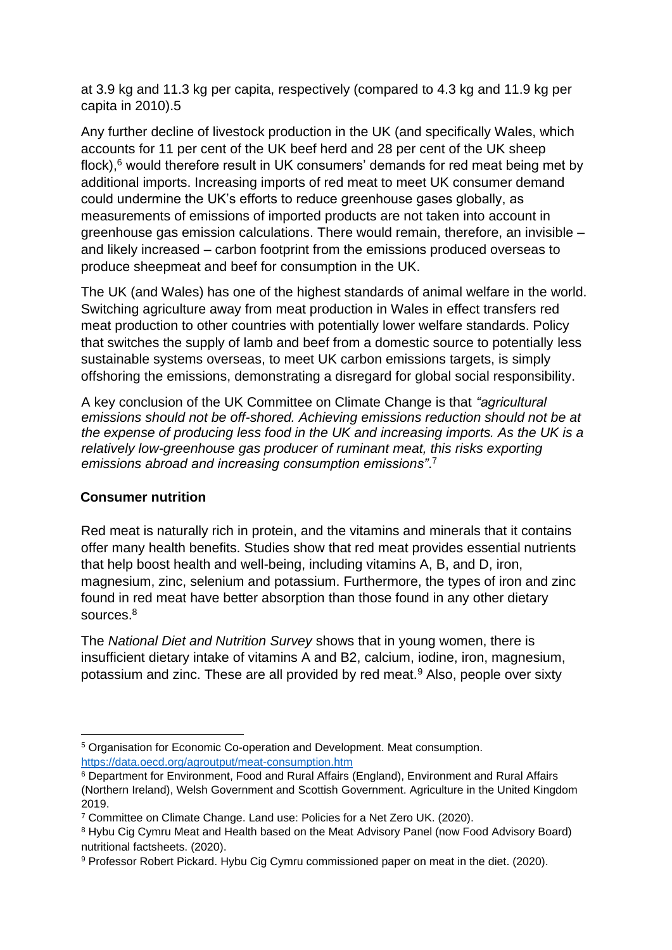at 3.9 kg and 11.3 kg per capita, respectively (compared to 4.3 kg and 11.9 kg per capita in 2010).5

Any further decline of livestock production in the UK (and specifically Wales, which accounts for 11 per cent of the UK beef herd and 28 per cent of the UK sheep flock), $6$  would therefore result in UK consumers' demands for red meat being met by additional imports. Increasing imports of red meat to meet UK consumer demand could undermine the UK's efforts to reduce greenhouse gases globally, as measurements of emissions of imported products are not taken into account in greenhouse gas emission calculations. There would remain, therefore, an invisible – and likely increased – carbon footprint from the emissions produced overseas to produce sheepmeat and beef for consumption in the UK.

The UK (and Wales) has one of the highest standards of animal welfare in the world. Switching agriculture away from meat production in Wales in effect transfers red meat production to other countries with potentially lower welfare standards. Policy that switches the supply of lamb and beef from a domestic source to potentially less sustainable systems overseas, to meet UK carbon emissions targets, is simply offshoring the emissions, demonstrating a disregard for global social responsibility.

A key conclusion of the UK Committee on Climate Change is that *"agricultural emissions should not be off-shored. Achieving emissions reduction should not be at the expense of producing less food in the UK and increasing imports. As the UK is a relatively low-greenhouse gas producer of ruminant meat, this risks exporting emissions abroad and increasing consumption emissions"*. 7

## **Consumer nutrition**

Red meat is naturally rich in protein, and the vitamins and minerals that it contains offer many health benefits. Studies show that red meat provides essential nutrients that help boost health and well-being, including vitamins A, B, and D, iron, magnesium, zinc, selenium and potassium. Furthermore, the types of iron and zinc found in red meat have better absorption than those found in any other dietary sources.<sup>8</sup>

The *National Diet and Nutrition Survey* shows that in young women, there is insufficient dietary intake of vitamins A and B2, calcium, iodine, iron, magnesium, potassium and zinc. These are all provided by red meat.<sup>9</sup> Also, people over sixty

<sup>5</sup> Organisation for Economic Co-operation and Development. Meat consumption. <https://data.oecd.org/agroutput/meat-consumption.htm>

<sup>6</sup> Department for Environment, Food and Rural Affairs (England), Environment and Rural Affairs (Northern Ireland), Welsh Government and Scottish Government. Agriculture in the United Kingdom 2019.

<sup>7</sup> Committee on Climate Change. Land use: Policies for a Net Zero UK. (2020).

<sup>8</sup> Hybu Cig Cymru Meat and Health based on the Meat Advisory Panel (now Food Advisory Board) nutritional factsheets. (2020).

<sup>9</sup> Professor Robert Pickard. Hybu Cig Cymru commissioned paper on meat in the diet. (2020).